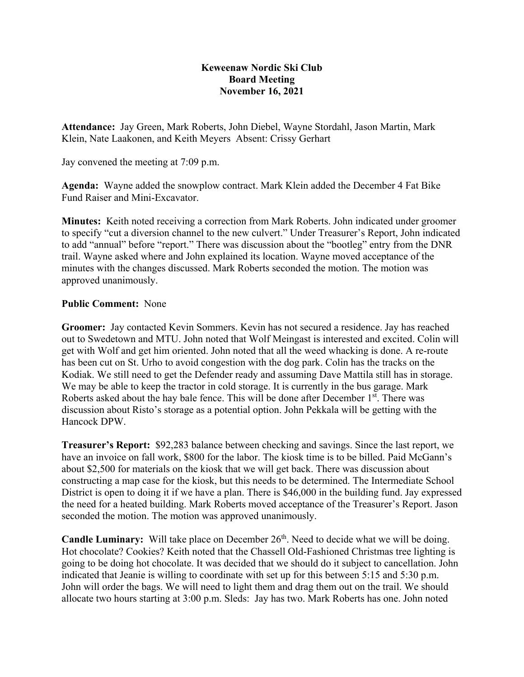## **Keweenaw Nordic Ski Club Board Meeting November 16, 2021**

**Attendance:** Jay Green, Mark Roberts, John Diebel, Wayne Stordahl, Jason Martin, Mark Klein, Nate Laakonen, and Keith Meyers Absent: Crissy Gerhart

Jay convened the meeting at 7:09 p.m.

**Agenda:** Wayne added the snowplow contract. Mark Klein added the December 4 Fat Bike Fund Raiser and Mini-Excavator.

**Minutes:** Keith noted receiving a correction from Mark Roberts. John indicated under groomer to specify "cut a diversion channel to the new culvert." Under Treasurer's Report, John indicated to add "annual" before "report." There was discussion about the "bootleg" entry from the DNR trail. Wayne asked where and John explained its location. Wayne moved acceptance of the minutes with the changes discussed. Mark Roberts seconded the motion. The motion was approved unanimously.

## **Public Comment:** None

**Groomer:** Jay contacted Kevin Sommers. Kevin has not secured a residence. Jay has reached out to Swedetown and MTU. John noted that Wolf Meingast is interested and excited. Colin will get with Wolf and get him oriented. John noted that all the weed whacking is done. A re-route has been cut on St. Urho to avoid congestion with the dog park. Colin has the tracks on the Kodiak. We still need to get the Defender ready and assuming Dave Mattila still has in storage. We may be able to keep the tractor in cold storage. It is currently in the bus garage. Mark Roberts asked about the hay bale fence. This will be done after December  $1<sup>st</sup>$ . There was discussion about Risto's storage as a potential option. John Pekkala will be getting with the Hancock DPW.

**Treasurer's Report:** \$92,283 balance between checking and savings. Since the last report, we have an invoice on fall work, \$800 for the labor. The kiosk time is to be billed. Paid McGann's about \$2,500 for materials on the kiosk that we will get back. There was discussion about constructing a map case for the kiosk, but this needs to be determined. The Intermediate School District is open to doing it if we have a plan. There is \$46,000 in the building fund. Jay expressed the need for a heated building. Mark Roberts moved acceptance of the Treasurer's Report. Jason seconded the motion. The motion was approved unanimously.

**Candle Luminary:** Will take place on December 26<sup>th</sup>. Need to decide what we will be doing. Hot chocolate? Cookies? Keith noted that the Chassell Old-Fashioned Christmas tree lighting is going to be doing hot chocolate. It was decided that we should do it subject to cancellation. John indicated that Jeanie is willing to coordinate with set up for this between 5:15 and 5:30 p.m. John will order the bags. We will need to light them and drag them out on the trail. We should allocate two hours starting at 3:00 p.m. Sleds: Jay has two. Mark Roberts has one. John noted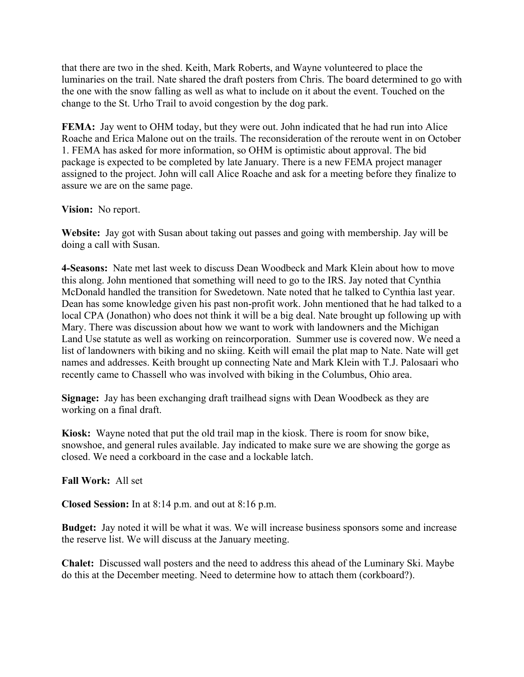that there are two in the shed. Keith, Mark Roberts, and Wayne volunteered to place the luminaries on the trail. Nate shared the draft posters from Chris. The board determined to go with the one with the snow falling as well as what to include on it about the event. Touched on the change to the St. Urho Trail to avoid congestion by the dog park.

**FEMA:** Jay went to OHM today, but they were out. John indicated that he had run into Alice Roache and Erica Malone out on the trails. The reconsideration of the reroute went in on October 1. FEMA has asked for more information, so OHM is optimistic about approval. The bid package is expected to be completed by late January. There is a new FEMA project manager assigned to the project. John will call Alice Roache and ask for a meeting before they finalize to assure we are on the same page.

## **Vision:** No report.

**Website:** Jay got with Susan about taking out passes and going with membership. Jay will be doing a call with Susan.

**4-Seasons:** Nate met last week to discuss Dean Woodbeck and Mark Klein about how to move this along. John mentioned that something will need to go to the IRS. Jay noted that Cynthia McDonald handled the transition for Swedetown. Nate noted that he talked to Cynthia last year. Dean has some knowledge given his past non-profit work. John mentioned that he had talked to a local CPA (Jonathon) who does not think it will be a big deal. Nate brought up following up with Mary. There was discussion about how we want to work with landowners and the Michigan Land Use statute as well as working on reincorporation. Summer use is covered now. We need a list of landowners with biking and no skiing. Keith will email the plat map to Nate. Nate will get names and addresses. Keith brought up connecting Nate and Mark Klein with T.J. Palosaari who recently came to Chassell who was involved with biking in the Columbus, Ohio area.

**Signage:** Jay has been exchanging draft trailhead signs with Dean Woodbeck as they are working on a final draft.

**Kiosk:** Wayne noted that put the old trail map in the kiosk. There is room for snow bike, snowshoe, and general rules available. Jay indicated to make sure we are showing the gorge as closed. We need a corkboard in the case and a lockable latch.

## **Fall Work:** All set

**Closed Session:** In at 8:14 p.m. and out at 8:16 p.m.

**Budget:** Jay noted it will be what it was. We will increase business sponsors some and increase the reserve list. We will discuss at the January meeting.

**Chalet:** Discussed wall posters and the need to address this ahead of the Luminary Ski. Maybe do this at the December meeting. Need to determine how to attach them (corkboard?).